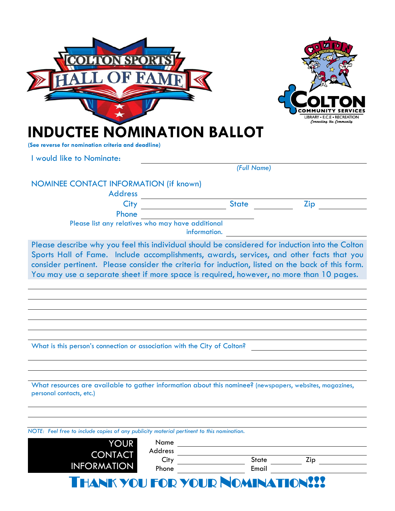|                                                                                                                                                                                                                                                                                         |              |                                         | LIBRARY • E.C.F • RECREA                      |  |
|-----------------------------------------------------------------------------------------------------------------------------------------------------------------------------------------------------------------------------------------------------------------------------------------|--------------|-----------------------------------------|-----------------------------------------------|--|
| <b>INDUCTEE NOMINATION BALLOT</b>                                                                                                                                                                                                                                                       |              |                                         | Connecting the Community                      |  |
| (See reverse for nomination criteria and deadline)<br>I would like to Nominate:                                                                                                                                                                                                         |              |                                         |                                               |  |
|                                                                                                                                                                                                                                                                                         |              | (Full Name)                             |                                               |  |
| NOMINEE CONTACT INFORMATION (if known)<br><b>Address</b>                                                                                                                                                                                                                                |              |                                         |                                               |  |
| City                                                                                                                                                                                                                                                                                    |              | <b>State</b>                            | Zip                                           |  |
| Phone<br>Please list any relatives who may have additional                                                                                                                                                                                                                              | information. |                                         |                                               |  |
| Sports Hall of Fame. Include accomplishments, awards, services, and other facts that you<br>consider pertinent. Please consider the criteria for induction, listed on the back of this form.<br>You may use a separate sheet if more space is required, however, no more than 10 pages. |              |                                         |                                               |  |
| What is this person's connection or association with the City of Colton?                                                                                                                                                                                                                |              |                                         |                                               |  |
| What resources are available to gather information about this nominee? (newspapers, websites, magazines,<br>personal contacts, etc.)                                                                                                                                                    |              |                                         |                                               |  |
| NOTE: Feel free to include copies of any publicity material pertinent to this nomination.                                                                                                                                                                                               |              |                                         |                                               |  |
| <b>YOUR</b>                                                                                                                                                                                                                                                                             | Address      |                                         |                                               |  |
| <b>CONTACT</b><br><b>INFORMATION</b>                                                                                                                                                                                                                                                    | City         |                                         | $\mathsf{Zip} \hspace{0.1cm} \longrightarrow$ |  |
|                                                                                                                                                                                                                                                                                         | Phone        |                                         |                                               |  |
|                                                                                                                                                                                                                                                                                         |              | <b>THANK YOU FOR YOUR NOMINATION!!!</b> |                                               |  |